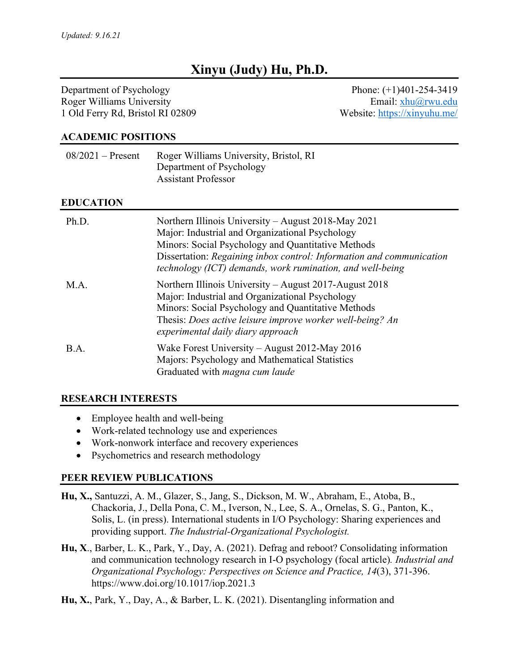# **Xinyu (Judy) Hu, Ph.D.**

Department of Psychology Roger Williams University 1 Old Ferry Rd, Bristol RI 02809

Phone: (+1)401-254-3419 Email: xhu@rwu.edu Website: https://xinyuhu.me/

#### **ACADEMIC POSITIONS**

| $08/2021$ – Present | Roger Williams University, Bristol, RI<br>Department of Psychology<br><b>Assistant Professor</b>                                                                                                                                                                                                  |
|---------------------|---------------------------------------------------------------------------------------------------------------------------------------------------------------------------------------------------------------------------------------------------------------------------------------------------|
| <b>EDUCATION</b>    |                                                                                                                                                                                                                                                                                                   |
| Ph.D.               | Northern Illinois University – August 2018-May 2021<br>Major: Industrial and Organizational Psychology<br>Minors: Social Psychology and Quantitative Methods<br>Dissertation: Regaining inbox control: Information and communication<br>technology (ICT) demands, work rumination, and well-being |
| M.A.                | Northern Illinois University – August 2017-August 2018<br>Major: Industrial and Organizational Psychology<br>Minors: Social Psychology and Quantitative Methods<br>Thesis: Does active leisure improve worker well-being? An<br>experimental daily diary approach                                 |
| B.A.                | Wake Forest University – August 2012-May 2016<br>Majors: Psychology and Mathematical Statistics                                                                                                                                                                                                   |

### **RESEARCH INTERESTS**

- Employee health and well-being
- Work-related technology use and experiences
- Work-nonwork interface and recovery experiences
- Psychometrics and research methodology

#### **PEER REVIEW PUBLICATIONS**

- **Hu, X.,** Santuzzi, A. M., Glazer, S., Jang, S., Dickson, M. W., Abraham, E., Atoba, B., Chackoria, J., Della Pona, C. M., Iverson, N., Lee, S. A., Ornelas, S. G., Panton, K., Solis, L. (in press). International students in I/O Psychology: Sharing experiences and providing support. *The Industrial-Organizational Psychologist.*
- **Hu, X**., Barber, L. K., Park, Y., Day, A. (2021). Defrag and reboot? Consolidating information and communication technology research in I-O psychology (focal article)*. Industrial and Organizational Psychology: Perspectives on Science and Practice, 14*(3), 371-396. https://www.doi.org/10.1017/iop.2021.3
- **Hu, X.**, Park, Y., Day, A., & Barber, L. K. (2021). Disentangling information and

Graduated with *magna cum laude*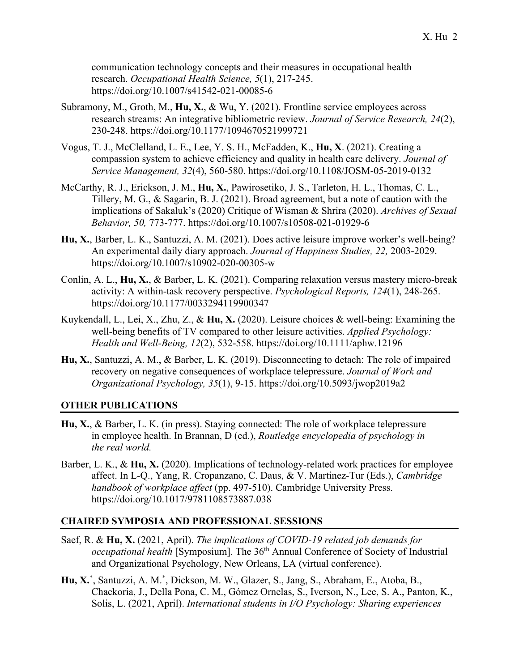communication technology concepts and their measures in occupational health research. *Occupational Health Science, 5*(1), 217-245. https://doi.org/10.1007/s41542-021-00085-6

- Subramony, M., Groth, M., **Hu, X.**, & Wu, Y. (2021). Frontline service employees across research streams: An integrative bibliometric review. *Journal of Service Research, 24*(2), 230-248. https://doi.org/10.1177/1094670521999721
- Vogus, T. J., McClelland, L. E., Lee, Y. S. H., McFadden, K., **Hu, X**. (2021). Creating a compassion system to achieve efficiency and quality in health care delivery. *Journal of Service Management, 32*(4), 560-580. https://doi.org/10.1108/JOSM-05-2019-0132
- McCarthy, R. J., Erickson, J. M., **Hu, X.**, Pawirosetiko, J. S., Tarleton, H. L., Thomas, C. L., Tillery, M. G., & Sagarin, B. J. (2021). Broad agreement, but a note of caution with the implications of Sakaluk's (2020) Critique of Wisman & Shrira (2020). *Archives of Sexual Behavior, 50,* 773-777. https://doi.org/10.1007/s10508-021-01929-6
- **Hu, X.**, Barber, L. K., Santuzzi, A. M. (2021). Does active leisure improve worker's well-being? An experimental daily diary approach. *Journal of Happiness Studies, 22,* 2003-2029. https://doi.org/10.1007/s10902-020-00305-w
- Conlin, A. L., **Hu, X.**, & Barber, L. K. (2021). Comparing relaxation versus mastery micro-break activity: A within-task recovery perspective. *Psychological Reports, 124*(1), 248-265. https://doi.org/10.1177/0033294119900347
- Kuykendall, L., Lei, X., Zhu, Z., & **Hu, X.** (2020). Leisure choices & well-being: Examining the well-being benefits of TV compared to other leisure activities. *Applied Psychology: Health and Well-Being, 12*(2), 532-558. https://doi.org/10.1111/aphw.12196
- **Hu, X.**, Santuzzi, A. M., & Barber, L. K. (2019). Disconnecting to detach: The role of impaired recovery on negative consequences of workplace telepressure. *Journal of Work and Organizational Psychology, 35*(1), 9-15. https://doi.org/10.5093/jwop2019a2

#### **OTHER PUBLICATIONS**

- **Hu, X.**, & Barber, L. K. (in press). Staying connected: The role of workplace telepressure in employee health. In Brannan, D (ed.), *Routledge encyclopedia of psychology in the real world.*
- Barber, L. K., & Hu, X. (2020). Implications of technology-related work practices for employee affect. In L-Q., Yang, R. Cropanzano, C. Daus, & V. Martinez-Tur (Eds.), *Cambridge handbook of workplace affect* (pp. 497-510). Cambridge University Press. https://doi.org/10.1017/9781108573887.038

#### **CHAIRED SYMPOSIA AND PROFESSIONAL SESSIONS**

- Saef, R. & **Hu, X.** (2021, April). *The implications of COVID-19 related job demands for occupational health* [Symposium]. The 36<sup>th</sup> Annual Conference of Society of Industrial and Organizational Psychology, New Orleans, LA (virtual conference).
- **Hu, X.**\* , Santuzzi, A. M.\* , Dickson, M. W., Glazer, S., Jang, S., Abraham, E., Atoba, B., Chackoria, J., Della Pona, C. M., Gómez Ornelas, S., Iverson, N., Lee, S. A., Panton, K., Solis, L. (2021, April). *International students in I/O Psychology: Sharing experiences*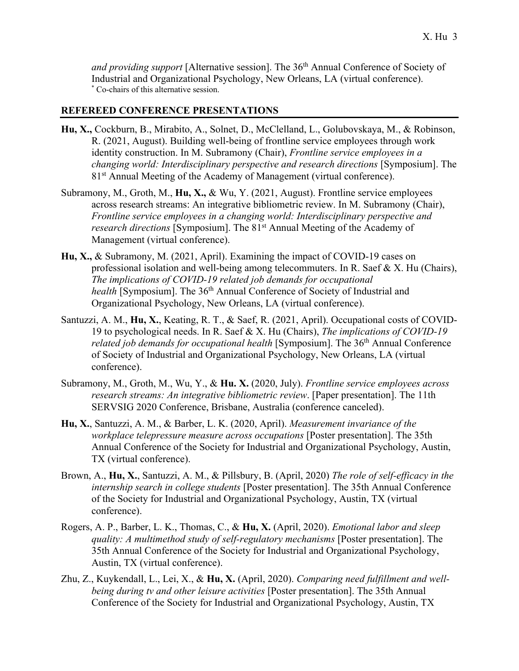and providing support [Alternative session]. The 36<sup>th</sup> Annual Conference of Society of Industrial and Organizational Psychology, New Orleans, LA (virtual conference). \* Co-chairs of this alternative session.

#### **REFEREED CONFERENCE PRESENTATIONS**

- **Hu, X.,** Cockburn, B., Mirabito, A., Solnet, D., McClelland, L., Golubovskaya, M., & Robinson, R. (2021, August). Building well-being of frontline service employees through work identity construction. In M. Subramony (Chair), *Frontline service employees in a changing world: Interdisciplinary perspective and research directions* [Symposium]. The 81<sup>st</sup> Annual Meeting of the Academy of Management (virtual conference).
- Subramony, M., Groth, M., **Hu, X.,** & Wu, Y. (2021, August). Frontline service employees across research streams: An integrative bibliometric review. In M. Subramony (Chair), *Frontline service employees in a changing world: Interdisciplinary perspective and research directions* [Symposium]. The 81<sup>st</sup> Annual Meeting of the Academy of Management (virtual conference).
- **Hu, X.,** & Subramony, M. (2021, April). Examining the impact of COVID-19 cases on professional isolation and well-being among telecommuters. In R. Saef & X. Hu (Chairs), *The implications of COVID-19 related job demands for occupational health* [Symposium]. The 36<sup>th</sup> Annual Conference of Society of Industrial and Organizational Psychology, New Orleans, LA (virtual conference).
- Santuzzi, A. M., **Hu, X.**, Keating, R. T., & Saef, R. (2021, April). Occupational costs of COVID-19 to psychological needs. In R. Saef & X. Hu (Chairs), *The implications of COVID-19 related job demands for occupational health* [Symposium]. The 36<sup>th</sup> Annual Conference of Society of Industrial and Organizational Psychology, New Orleans, LA (virtual conference).
- Subramony, M., Groth, M., Wu, Y., & **Hu. X.** (2020, July). *Frontline service employees across research streams: An integrative bibliometric review*. [Paper presentation]. The 11th SERVSIG 2020 Conference, Brisbane, Australia (conference canceled).
- **Hu, X.**, Santuzzi, A. M., & Barber, L. K. (2020, April). *Measurement invariance of the workplace telepressure measure across occupations* [Poster presentation]. The 35th Annual Conference of the Society for Industrial and Organizational Psychology, Austin, TX (virtual conference).
- Brown, A., **Hu, X.**, Santuzzi, A. M., & Pillsbury, B. (April, 2020) *The role of self-efficacy in the internship search in college students* [Poster presentation]. The 35th Annual Conference of the Society for Industrial and Organizational Psychology, Austin, TX (virtual conference).
- Rogers, A. P., Barber, L. K., Thomas, C., & **Hu, X.** (April, 2020). *Emotional labor and sleep quality: A multimethod study of self-regulatory mechanisms* [Poster presentation]. The 35th Annual Conference of the Society for Industrial and Organizational Psychology, Austin, TX (virtual conference).
- Zhu, Z., Kuykendall, L., Lei, X., & **Hu, X.** (April, 2020). *Comparing need fulfillment and wellbeing during tv and other leisure activities* [Poster presentation]. The 35th Annual Conference of the Society for Industrial and Organizational Psychology, Austin, TX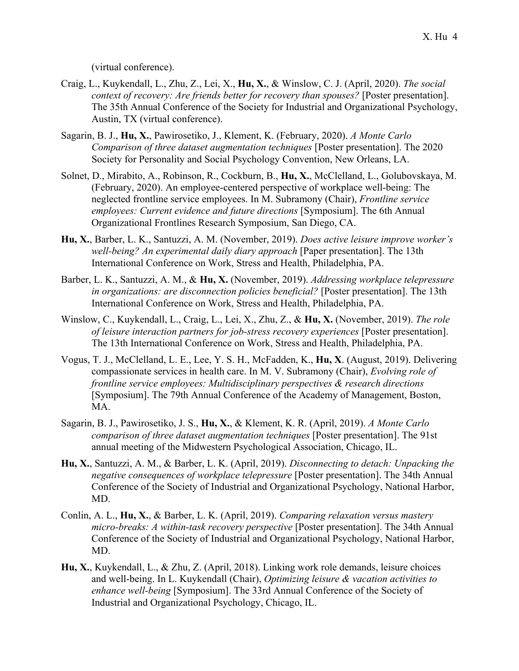(virtual conference).

- Craig, L., Kuykendall, L., Zhu, Z., Lei, X., **Hu, X.**, & Winslow, C. J. (April, 2020). *The social context of recovery: Are friends better for recovery than spouses?* [Poster presentation]. The 35th Annual Conference of the Society for Industrial and Organizational Psychology, Austin, TX (virtual conference).
- Sagarin, B. J., **Hu, X.**, Pawirosetiko, J., Klement, K. (February, 2020). *A Monte Carlo Comparison of three dataset augmentation techniques* [Poster presentation]. The 2020 Society for Personality and Social Psychology Convention, New Orleans, LA.
- Solnet, D., Mirabito, A., Robinson, R., Cockburn, B., **Hu, X.**, McClelland, L., Golubovskaya, M. (February, 2020). An employee-centered perspective of workplace well-being: The neglected frontline service employees. In M. Subramony (Chair), *Frontline service employees: Current evidence and future directions* [Symposium]. The 6th Annual Organizational Frontlines Research Symposium, San Diego, CA.
- **Hu, X.**, Barber, L. K., Santuzzi, A. M. (November, 2019). *Does active leisure improve worker's well-being? An experimental daily diary approach* [Paper presentation]. The 13th International Conference on Work, Stress and Health, Philadelphia, PA.
- Barber, L. K., Santuzzi, A. M., & **Hu, X.** (November, 2019). *Addressing workplace telepressure in organizations: are disconnection policies beneficial?* [Poster presentation]. The 13th International Conference on Work, Stress and Health, Philadelphia, PA.
- Winslow, C., Kuykendall, L., Craig, L., Lei, X., Zhu, Z., & **Hu, X.** (November, 2019). *The role of leisure interaction partners for job-stress recovery experiences* [Poster presentation]. The 13th International Conference on Work, Stress and Health, Philadelphia, PA.
- Vogus, T. J., McClelland, L. E., Lee, Y. S. H., McFadden, K., **Hu, X**. (August, 2019). Delivering compassionate services in health care. In M. V. Subramony (Chair), *Evolving role of frontline service employees: Multidisciplinary perspectives & research directions* [Symposium]. The 79th Annual Conference of the Academy of Management, Boston, MA.
- Sagarin, B. J., Pawirosetiko, J. S., **Hu, X.**, & Klement, K. R. (April, 2019). *A Monte Carlo comparison of three dataset augmentation techniques* [Poster presentation]. The 91st annual meeting of the Midwestern Psychological Association, Chicago, IL.
- **Hu, X.**, Santuzzi, A. M., & Barber, L. K. (April, 2019). *Disconnecting to detach: Unpacking the negative consequences of workplace telepressure* [Poster presentation]. The 34th Annual Conference of the Society of Industrial and Organizational Psychology, National Harbor, MD.
- Conlin, A. L., **Hu, X.**, & Barber, L. K. (April, 2019). *Comparing relaxation versus mastery micro-breaks: A within-task recovery perspective* [Poster presentation]. The 34th Annual Conference of the Society of Industrial and Organizational Psychology, National Harbor, MD.
- **Hu, X.**, Kuykendall, L., & Zhu, Z. (April, 2018). Linking work role demands, leisure choices and well-being. In L. Kuykendall (Chair), *Optimizing leisure & vacation activities to enhance well-being* [Symposium]. The 33rd Annual Conference of the Society of Industrial and Organizational Psychology, Chicago, IL.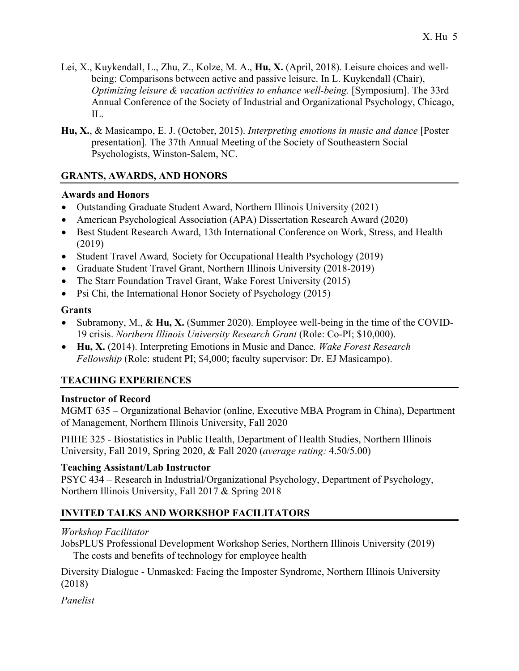- Lei, X., Kuykendall, L., Zhu, Z., Kolze, M. A., **Hu, X.** (April, 2018). Leisure choices and wellbeing: Comparisons between active and passive leisure. In L. Kuykendall (Chair), *Optimizing leisure & vacation activities to enhance well-being.* [Symposium]. The 33rd Annual Conference of the Society of Industrial and Organizational Psychology, Chicago, IL.
- **Hu, X.**, & Masicampo, E. J. (October, 2015). *Interpreting emotions in music and dance* [Poster presentation]. The 37th Annual Meeting of the Society of Southeastern Social Psychologists, Winston-Salem, NC.

## **GRANTS, AWARDS, AND HONORS**

### **Awards and Honors**

- Outstanding Graduate Student Award, Northern Illinois University (2021)
- American Psychological Association (APA) Dissertation Research Award (2020)
- Best Student Research Award, 13th International Conference on Work, Stress, and Health (2019)
- Student Travel Award*,* Society for Occupational Health Psychology (2019)
- Graduate Student Travel Grant, Northern Illinois University (2018-2019)
- The Starr Foundation Travel Grant, Wake Forest University (2015)
- Psi Chi, the International Honor Society of Psychology (2015)

### **Grants**

- Subramony, M., & **Hu, X.** (Summer 2020). Employee well-being in the time of the COVID-19 crisis. *Northern Illinois University Research Grant* (Role: Co-PI; \$10,000).
- **Hu, X.** (2014). Interpreting Emotions in Music and Dance*. Wake Forest Research Fellowship* (Role: student PI; \$4,000; faculty supervisor: Dr. EJ Masicampo).

# **TEACHING EXPERIENCES**

### **Instructor of Record**

MGMT 635 – Organizational Behavior (online, Executive MBA Program in China), Department of Management, Northern Illinois University, Fall 2020

PHHE 325 - Biostatistics in Public Health, Department of Health Studies, Northern Illinois University, Fall 2019, Spring 2020, & Fall 2020 (*average rating:* 4.50/5.00)

### **Teaching Assistant/Lab Instructor**

PSYC 434 – Research in Industrial/Organizational Psychology, Department of Psychology, Northern Illinois University, Fall 2017 & Spring 2018

# **INVITED TALKS AND WORKSHOP FACILITATORS**

# *Workshop Facilitator*

JobsPLUS Professional Development Workshop Series, Northern Illinois University (2019) The costs and benefits of technology for employee health

Diversity Dialogue - Unmasked: Facing the Imposter Syndrome, Northern Illinois University (2018)

*Panelist*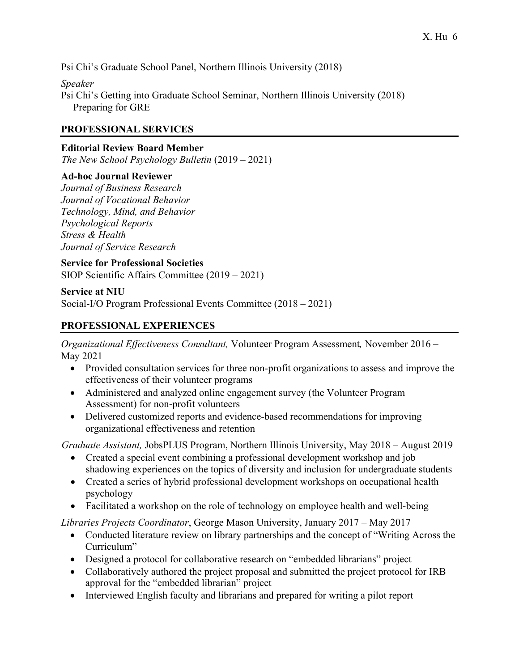Psi Chi's Graduate School Panel, Northern Illinois University (2018)

*Speaker* Psi Chi's Getting into Graduate School Seminar, Northern Illinois University (2018) Preparing for GRE

#### **PROFESSIONAL SERVICES**

#### **Editorial Review Board Member**

*The New School Psychology Bulletin* (2019 – 2021)

### **Ad-hoc Journal Reviewer**

*Journal of Business Research Journal of Vocational Behavior Technology, Mind, and Behavior Psychological Reports Stress & Health Journal of Service Research*

**Service for Professional Societies** SIOP Scientific Affairs Committee (2019 – 2021)

**Service at NIU** Social-I/O Program Professional Events Committee (2018 – 2021)

### **PROFESSIONAL EXPERIENCES**

*Organizational Effectiveness Consultant,* Volunteer Program Assessment*,* November 2016 – May 2021

- Provided consultation services for three non-profit organizations to assess and improve the effectiveness of their volunteer programs
- Administered and analyzed online engagement survey (the Volunteer Program Assessment) for non-profit volunteers
- Delivered customized reports and evidence-based recommendations for improving organizational effectiveness and retention

*Graduate Assistant,* JobsPLUS Program, Northern Illinois University, May 2018 – August 2019

- Created a special event combining a professional development workshop and job shadowing experiences on the topics of diversity and inclusion for undergraduate students
- Created a series of hybrid professional development workshops on occupational health psychology
- Facilitated a workshop on the role of technology on employee health and well-being

*Libraries Projects Coordinator*, George Mason University, January 2017 – May 2017

- Conducted literature review on library partnerships and the concept of "Writing Across the Curriculum"
- Designed a protocol for collaborative research on "embedded librarians" project
- Collaboratively authored the project proposal and submitted the project protocol for IRB approval for the "embedded librarian" project
- Interviewed English faculty and librarians and prepared for writing a pilot report